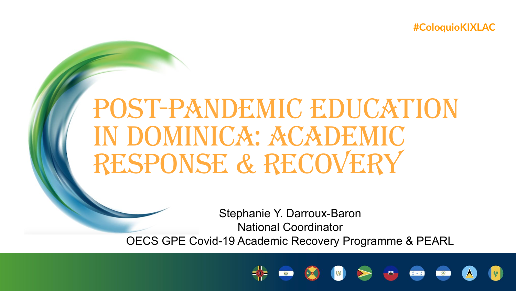**#ColoquioKIXLAC**

# Post-Pandemic Education in Dominica: Academic Response & Recovery

Stephanie Y. Darroux-Baron National Coordinator

OECS GPE Covid-19 Academic Recovery Programme & PEARL

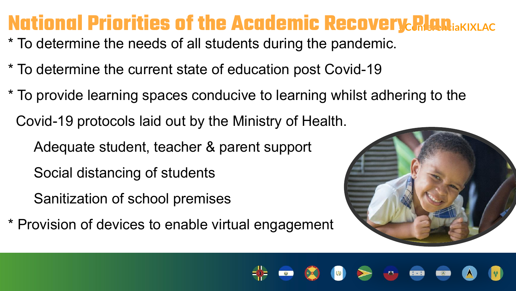#### **National Priorities of the Academic Recovery Plan <b>#ACONG**

- \* To determine the needs of all students during the pandemic.
- \* To determine the current state of education post Covid-19
- \* To provide learning spaces conducive to learning whilst adhering to the
	- Covid-19 protocols laid out by the Ministry of Health.
		- Adequate student, teacher & parent support
		- Social distancing of students
		- Sanitization of school premises
- \* Provision of devices to enable virtual engagement

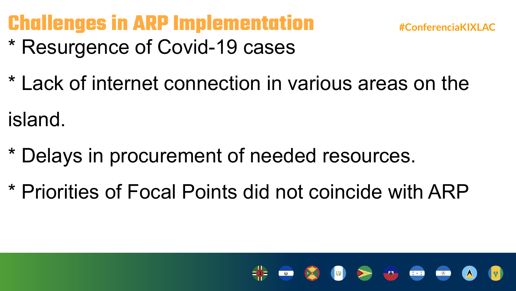### **Challenges in ARP Implementation #ConferenciaKIXLAC**

**CESS** 

 $R_{\text{eff}}$ 

- \* Resurgence of Covid-19 cases
- \* Lack of internet connection in various areas on the

island.

- \* Delays in procurement of needed resources.
- \* Priorities of Focal Points did not coincide with ARP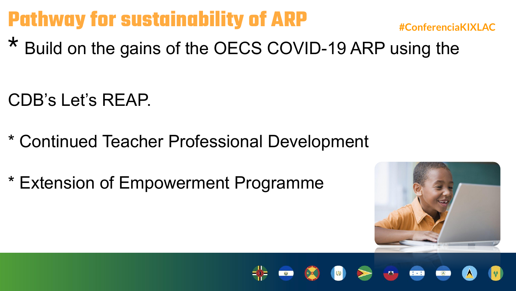## **Pathway for sustainability of ARP**  $\text{H}_\text{ConfercialKIXLAC}$

\* Build on the gains of the OECS COVID-19 ARP using the

CDB's Let's REAP.

- \* Continued Teacher Professional Development
- \* Extension of Empowerment Programme